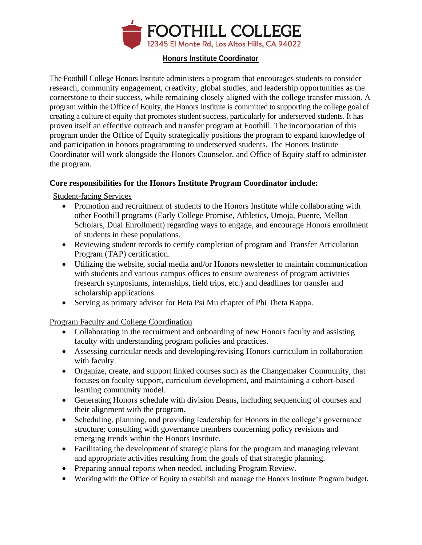

# **Honors Institute Coordinator**

The Foothill College Honors Institute administers a program that encourages students to consider research, community engagement, creativity, global studies, and leadership opportunities as the cornerstone to their success, while remaining closely aligned with the college transfer mission. A program within the Office of Equity, the Honors Institute is committed to supporting the college goal of creating a culture of equity that promotes student success, particularly for underserved students. It has proven itself an effective outreach and transfer program at Foothill. The incorporation of this program under the Office of Equity strategically positions the program to expand knowledge of and participation in honors programming to underserved students. The Honors Institute Coordinator will work alongside the Honors Counselor, and Office of Equity staff to administer the program.

# **Core responsibilities for the Honors Institute Program Coordinator include:**

Student-facing Services

- Promotion and recruitment of students to the Honors Institute while collaborating with other Foothill programs (Early College Promise, Athletics, Umoja, Puente, Mellon Scholars, Dual Enrollment) regarding ways to engage, and encourage Honors enrollment of students in these populations.
- Reviewing student records to certify completion of program and Transfer Articulation Program (TAP) certification.
- Utilizing the website, social media and/or Honors newsletter to maintain communication with students and various campus offices to ensure awareness of program activities (research symposiums, internships, field trips, etc.) and deadlines for transfer and scholarship applications.
- Serving as primary advisor for Beta Psi Mu chapter of Phi Theta Kappa.

Program Faculty and College Coordination

- Collaborating in the recruitment and onboarding of new Honors faculty and assisting faculty with understanding program policies and practices.
- Assessing curricular needs and developing/revising Honors curriculum in collaboration with faculty.
- Organize, create, and support linked courses such as the Changemaker Community, that focuses on faculty support, curriculum development, and maintaining a cohort-based learning community model.
- Generating Honors schedule with division Deans, including sequencing of courses and their alignment with the program.
- Scheduling, planning, and providing leadership for Honors in the college's governance structure; consulting with governance members concerning policy revisions and emerging trends within the Honors Institute.
- Facilitating the development of strategic plans for the program and managing relevant and appropriate activities resulting from the goals of that strategic planning.
- Preparing annual reports when needed, including Program Review.
- Working with the Office of Equity to establish and manage the Honors Institute Program budget.